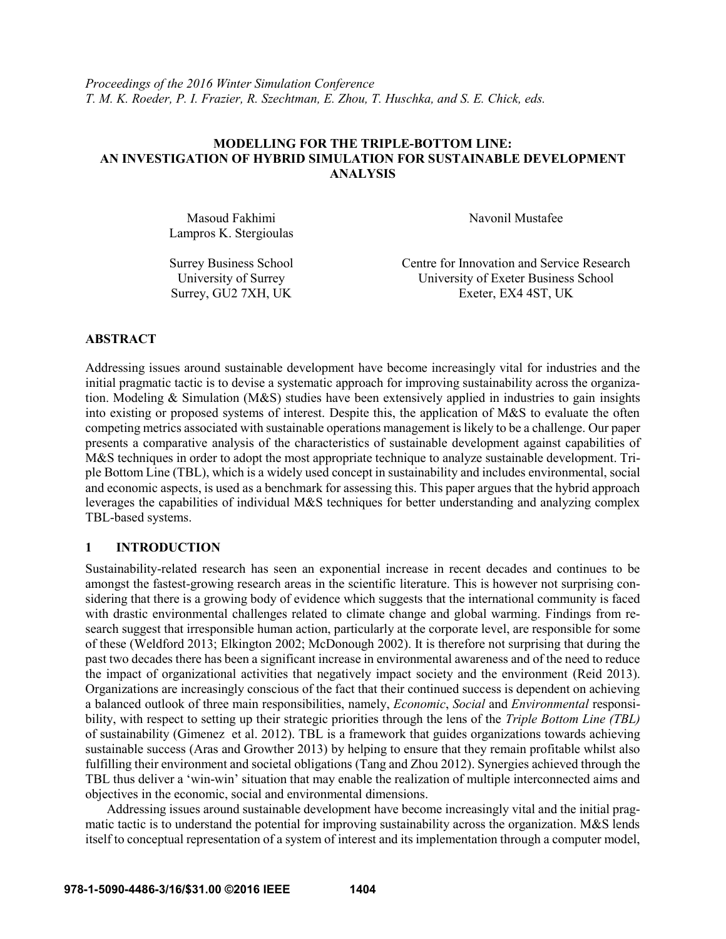### **MODELLING FOR THE TRIPLE-BOTTOM LINE: AN INVESTIGATION OF HYBRID SIMULATION FOR SUSTAINABLE DEVELOPMENT ANALYSIS**

Masoud Fakhimi Lampros K. Stergioulas Navonil Mustafee

Surrey Business School University of Surrey

Centre for Innovation and Service Research University of Exeter Business School Surrey, GU2 7XH, UK Exeter, EX4 4ST, UK

# **ABSTRACT**

Addressing issues around sustainable development have become increasingly vital for industries and the initial pragmatic tactic is to devise a systematic approach for improving sustainability across the organization. Modeling & Simulation (M&S) studies have been extensively applied in industries to gain insights into existing or proposed systems of interest. Despite this, the application of M&S to evaluate the often competing metrics associated with sustainable operations management is likely to be a challenge. Our paper presents a comparative analysis of the characteristics of sustainable development against capabilities of M&S techniques in order to adopt the most appropriate technique to analyze sustainable development. Triple Bottom Line (TBL), which is a widely used concept in sustainability and includes environmental, social and economic aspects, is used as a benchmark for assessing this. This paper argues that the hybrid approach leverages the capabilities of individual M&S techniques for better understanding and analyzing complex TBL-based systems.

# **1 INTRODUCTION**

Sustainability-related research has seen an exponential increase in recent decades and continues to be amongst the fastest-growing research areas in the scientific literature. This is however not surprising considering that there is a growing body of evidence which suggests that the international community is faced with drastic environmental challenges related to climate change and global warming. Findings from research suggest that irresponsible human action, particularly at the corporate level, are responsible for some of these (Weldford 2013; Elkington 2002; McDonough 2002). It is therefore not surprising that during the past two decades there has been a significant increase in environmental awareness and of the need to reduce the impact of organizational activities that negatively impact society and the environment (Reid 2013). Organizations are increasingly conscious of the fact that their continued success is dependent on achieving a balanced outlook of three main responsibilities, namely, *Economic*, *Social* and *Environmental* responsibility, with respect to setting up their strategic priorities through the lens of the *Triple Bottom Line (TBL)* of sustainability (Gimenez et al. 2012). TBL is a framework that guides organizations towards achieving sustainable success (Aras and Growther 2013) by helping to ensure that they remain profitable whilst also fulfilling their environment and societal obligations (Tang and Zhou 2012). Synergies achieved through the TBL thus deliver a 'win-win' situation that may enable the realization of multiple interconnected aims and objectives in the economic, social and environmental dimensions.

Addressing issues around sustainable development have become increasingly vital and the initial pragmatic tactic is to understand the potential for improving sustainability across the organization. M&S lends itself to conceptual representation of a system of interest and its implementation through a computer model,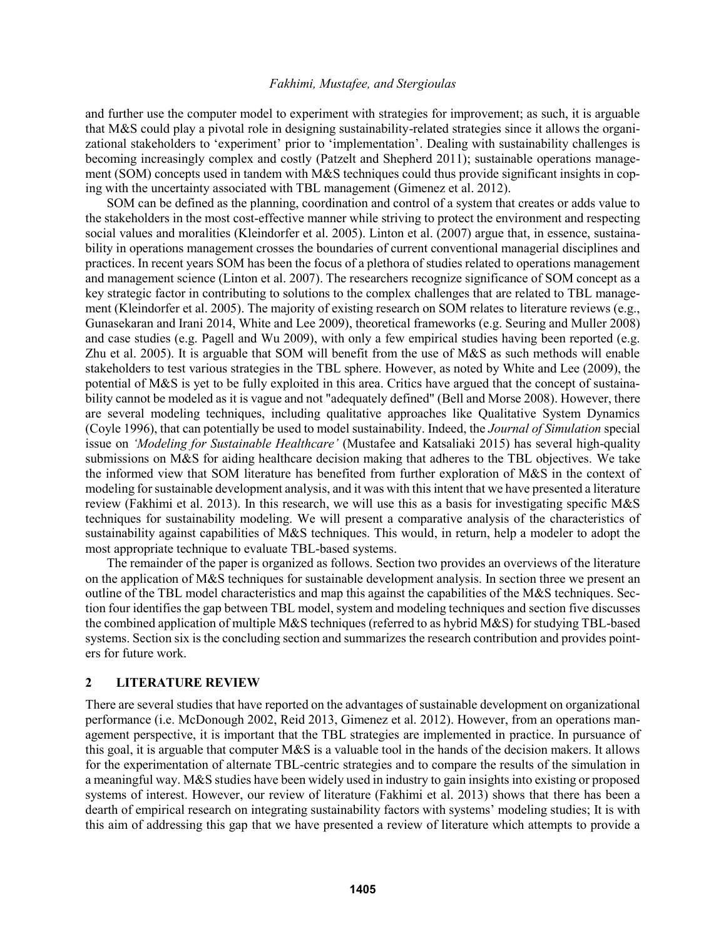and further use the computer model to experiment with strategies for improvement; as such, it is arguable that M&S could play a pivotal role in designing sustainability-related strategies since it allows the organizational stakeholders to 'experiment' prior to 'implementation'. Dealing with sustainability challenges is becoming increasingly complex and costly (Patzelt and Shepherd 2011); sustainable operations management (SOM) concepts used in tandem with M&S techniques could thus provide significant insights in coping with the uncertainty associated with TBL management (Gimenez et al. 2012).

SOM can be defined as the planning, coordination and control of a system that creates or adds value to the stakeholders in the most cost-effective manner while striving to protect the environment and respecting social values and moralities (Kleindorfer et al. 2005). Linton et al. (2007) argue that, in essence, sustainability in operations management crosses the boundaries of current conventional managerial disciplines and practices. In recent years SOM has been the focus of a plethora of studies related to operations management and management science (Linton et al. 2007). The researchers recognize significance of SOM concept as a key strategic factor in contributing to solutions to the complex challenges that are related to TBL management (Kleindorfer et al. 2005). The majority of existing research on SOM relates to literature reviews (e.g., Gunasekaran and Irani 2014, White and Lee 2009), theoretical frameworks (e.g. Seuring and Muller 2008) and case studies (e.g. Pagell and Wu 2009), with only a few empirical studies having been reported (e.g. Zhu et al. 2005). It is arguable that SOM will benefit from the use of M&S as such methods will enable stakeholders to test various strategies in the TBL sphere. However, as noted by White and Lee (2009), the potential of M&S is yet to be fully exploited in this area. Critics have argued that the concept of sustainability cannot be modeled as it is vague and not "adequately defined" (Bell and Morse 2008). However, there are several modeling techniques, including qualitative approaches like Qualitative System Dynamics (Coyle 1996), that can potentially be used to model sustainability. Indeed, the *Journal of Simulation* special issue on *'Modeling for Sustainable Healthcare'* (Mustafee and Katsaliaki 2015) has several high-quality submissions on M&S for aiding healthcare decision making that adheres to the TBL objectives. We take the informed view that SOM literature has benefited from further exploration of M&S in the context of modeling for sustainable development analysis, and it was with this intent that we have presented a literature review (Fakhimi et al. 2013). In this research, we will use this as a basis for investigating specific M&S techniques for sustainability modeling. We will present a comparative analysis of the characteristics of sustainability against capabilities of M&S techniques. This would, in return, help a modeler to adopt the most appropriate technique to evaluate TBL-based systems.

The remainder of the paper is organized as follows. Section two provides an overviews of the literature on the application of M&S techniques for sustainable development analysis. In section three we present an outline of the TBL model characteristics and map this against the capabilities of the M&S techniques. Section four identifies the gap between TBL model, system and modeling techniques and section five discusses the combined application of multiple M&S techniques (referred to as hybrid M&S) for studying TBL-based systems. Section six is the concluding section and summarizes the research contribution and provides pointers for future work.

### **2 LITERATURE REVIEW**

There are several studies that have reported on the advantages of sustainable development on organizational performance (i.e. McDonough 2002, Reid 2013, Gimenez et al. 2012). However, from an operations management perspective, it is important that the TBL strategies are implemented in practice. In pursuance of this goal, it is arguable that computer M&S is a valuable tool in the hands of the decision makers. It allows for the experimentation of alternate TBL-centric strategies and to compare the results of the simulation in a meaningful way. M&S studies have been widely used in industry to gain insights into existing or proposed systems of interest. However, our review of literature (Fakhimi et al. 2013) shows that there has been a dearth of empirical research on integrating sustainability factors with systems' modeling studies; It is with this aim of addressing this gap that we have presented a review of literature which attempts to provide a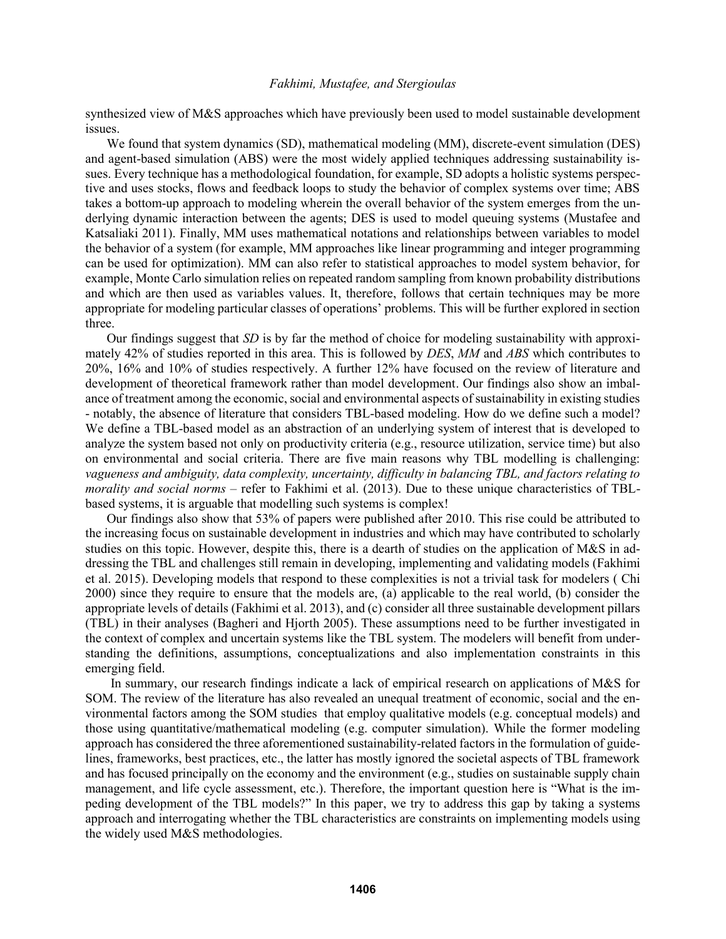synthesized view of M&S approaches which have previously been used to model sustainable development issues.

We found that system dynamics (SD), mathematical modeling (MM), discrete-event simulation (DES) and agent-based simulation (ABS) were the most widely applied techniques addressing sustainability issues. Every technique has a methodological foundation, for example, SD adopts a holistic systems perspective and uses stocks, flows and feedback loops to study the behavior of complex systems over time; ABS takes a bottom-up approach to modeling wherein the overall behavior of the system emerges from the underlying dynamic interaction between the agents; DES is used to model queuing systems (Mustafee and Katsaliaki 2011). Finally, MM uses mathematical notations and relationships between variables to model the behavior of a system (for example, MM approaches like linear programming and integer programming can be used for optimization). MM can also refer to statistical approaches to model system behavior, for example, Monte Carlo simulation relies on repeated random sampling from known probability distributions and which are then used as variables values. It, therefore, follows that certain techniques may be more appropriate for modeling particular classes of operations' problems. This will be further explored in section three.

Our findings suggest that *SD* is by far the method of choice for modeling sustainability with approximately 42% of studies reported in this area. This is followed by *DES*, *MM* and *ABS* which contributes to 20%, 16% and 10% of studies respectively. A further 12% have focused on the review of literature and development of theoretical framework rather than model development. Our findings also show an imbalance of treatment among the economic, social and environmental aspects of sustainability in existing studies - notably, the absence of literature that considers TBL-based modeling. How do we define such a model? We define a TBL-based model as an abstraction of an underlying system of interest that is developed to analyze the system based not only on productivity criteria (e.g., resource utilization, service time) but also on environmental and social criteria. There are five main reasons why TBL modelling is challenging: *vagueness and ambiguity, data complexity, uncertainty, difficulty in balancing TBL, and factors relating to morality and social norms* – refer to Fakhimi et al. (2013). Due to these unique characteristics of TBLbased systems, it is arguable that modelling such systems is complex!

Our findings also show that 53% of papers were published after 2010. This rise could be attributed to the increasing focus on sustainable development in industries and which may have contributed to scholarly studies on this topic. However, despite this, there is a dearth of studies on the application of M&S in addressing the TBL and challenges still remain in developing, implementing and validating models (Fakhimi et al. 2015). Developing models that respond to these complexities is not a trivial task for modelers ( Chi 2000) since they require to ensure that the models are, (a) applicable to the real world, (b) consider the appropriate levels of details (Fakhimi et al. 2013), and (c) consider all three sustainable development pillars (TBL) in their analyses (Bagheri and Hjorth 2005). These assumptions need to be further investigated in the context of complex and uncertain systems like the TBL system. The modelers will benefit from understanding the definitions, assumptions, conceptualizations and also implementation constraints in this emerging field.

In summary, our research findings indicate a lack of empirical research on applications of M&S for SOM. The review of the literature has also revealed an unequal treatment of economic, social and the environmental factors among the SOM studies that employ qualitative models (e.g. conceptual models) and those using quantitative/mathematical modeling (e.g. computer simulation). While the former modeling approach has considered the three aforementioned sustainability-related factors in the formulation of guidelines, frameworks, best practices, etc., the latter has mostly ignored the societal aspects of TBL framework and has focused principally on the economy and the environment (e.g., studies on sustainable supply chain management, and life cycle assessment, etc.). Therefore, the important question here is "What is the impeding development of the TBL models?" In this paper, we try to address this gap by taking a systems approach and interrogating whether the TBL characteristics are constraints on implementing models using the widely used M&S methodologies.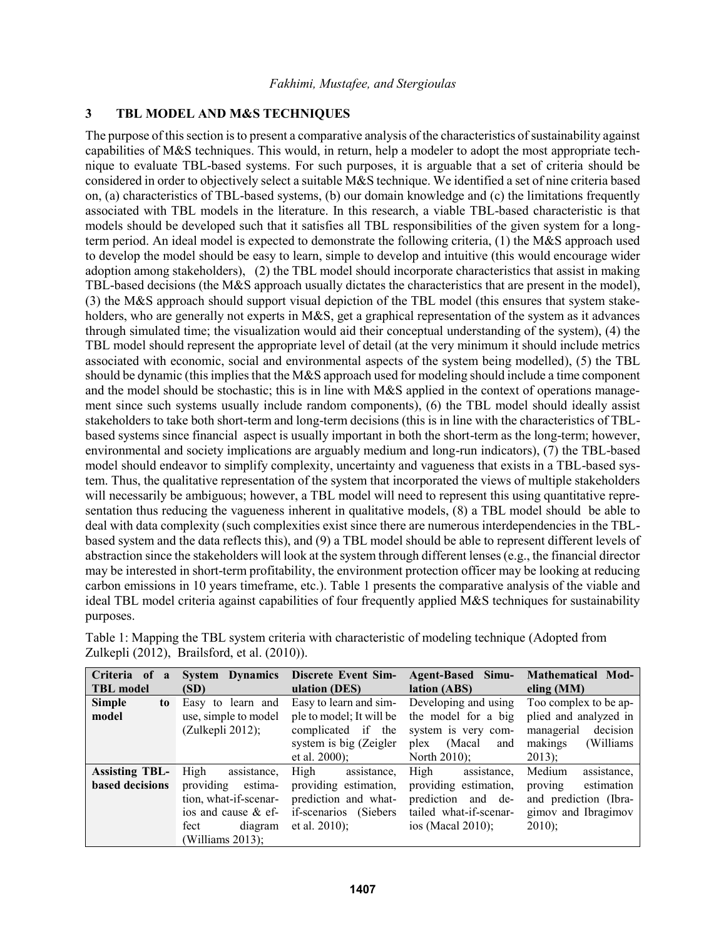### **3 TBL MODEL AND M&S TECHNIQUES**

The purpose of this section is to present a comparative analysis of the characteristics of sustainability against capabilities of M&S techniques. This would, in return, help a modeler to adopt the most appropriate technique to evaluate TBL-based systems. For such purposes, it is arguable that a set of criteria should be considered in order to objectively select a suitable M&S technique. We identified a set of nine criteria based on, (a) characteristics of TBL-based systems, (b) our domain knowledge and (c) the limitations frequently associated with TBL models in the literature. In this research, a viable TBL-based characteristic is that models should be developed such that it satisfies all TBL responsibilities of the given system for a longterm period. An ideal model is expected to demonstrate the following criteria, (1) the M&S approach used to develop the model should be easy to learn, simple to develop and intuitive (this would encourage wider adoption among stakeholders), (2) the TBL model should incorporate characteristics that assist in making TBL-based decisions (the M&S approach usually dictates the characteristics that are present in the model), (3) the M&S approach should support visual depiction of the TBL model (this ensures that system stakeholders, who are generally not experts in M&S, get a graphical representation of the system as it advances through simulated time; the visualization would aid their conceptual understanding of the system), (4) the TBL model should represent the appropriate level of detail (at the very minimum it should include metrics associated with economic, social and environmental aspects of the system being modelled), (5) the TBL should be dynamic (this implies that the M&S approach used for modeling should include a time component and the model should be stochastic; this is in line with M&S applied in the context of operations management since such systems usually include random components), (6) the TBL model should ideally assist stakeholders to take both short-term and long-term decisions (this is in line with the characteristics of TBLbased systems since financial aspect is usually important in both the short-term as the long-term; however, environmental and society implications are arguably medium and long-run indicators), (7) the TBL-based model should endeavor to simplify complexity, uncertainty and vagueness that exists in a TBL-based system. Thus, the qualitative representation of the system that incorporated the views of multiple stakeholders will necessarily be ambiguous; however, a TBL model will need to represent this using quantitative representation thus reducing the vagueness inherent in qualitative models, (8) a TBL model should be able to deal with data complexity (such complexities exist since there are numerous interdependencies in the TBLbased system and the data reflects this), and (9) a TBL model should be able to represent different levels of abstraction since the stakeholders will look at the system through different lenses (e.g., the financial director may be interested in short-term profitability, the environment protection officer may be looking at reducing carbon emissions in 10 years timeframe, etc.). Table 1 presents the comparative analysis of the viable and ideal TBL model criteria against capabilities of four frequently applied M&S techniques for sustainability purposes.

| Criteria of<br><sup>2</sup> |                       | System Dynamics Discrete Event Sim- | <b>Agent-Based Simu-</b> | <b>Mathematical Mod-</b> |
|-----------------------------|-----------------------|-------------------------------------|--------------------------|--------------------------|
| <b>TBL</b> model            | (SD)                  | ulation (DES)                       | lation (ABS)             | eling $(MM)$             |
| <b>Simple</b><br>to         | Easy to learn and     | Easy to learn and sim-              | Developing and using     | Too complex to be ap-    |
| model                       | use, simple to model  | ple to model; It will be            | the model for a big      | plied and analyzed in    |
|                             | (Zulkepli 2012);      | complicated if the                  | system is very com-      | decision<br>managerial   |
|                             |                       | system is big (Zeigler              | (Macal)<br>plex<br>and   | makings<br>(Williams)    |
|                             |                       | et al. $2000$ ;                     | North $2010$ ;           | $2013$ ;                 |
| <b>Assisting TBL-</b>       | High<br>assistance.   | High<br>assistance.                 | High<br>assistance.      | Medium<br>assistance.    |
| based decisions             | providing estima-     | providing estimation.               | providing estimation,    | estimation<br>proving    |
|                             | tion, what-if-scenar- | prediction and what-                | prediction and de-       | and prediction (Ibra-    |
|                             | ios and cause $&$ ef- | if-scenarios<br>(Siebers)           | tailed what-if-scenar-   | gimov and Ibragimov      |
|                             | diagram<br>fect       | et al. $2010$ ;                     | ios (Macal 2010);        | $2010$ ;                 |
|                             | (Williams 2013):      |                                     |                          |                          |

Table 1: Mapping the TBL system criteria with characteristic of modeling technique (Adopted from Zulkepli (2012), Brailsford, et al. (2010)).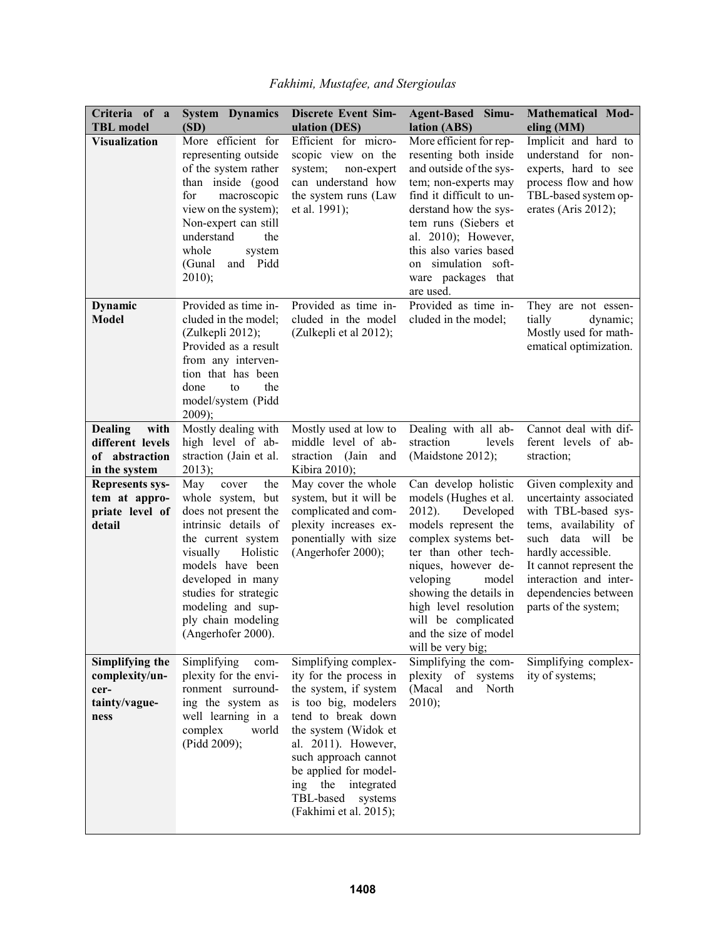| Criteria of a<br><b>TBL</b> model                                      | <b>System Dynamics</b><br>(SD)                                                                                                                                                                                                                                            | <b>Discrete Event Sim-</b><br>ulation (DES)                                                                                                                                                                                                                                                      | <b>Agent-Based</b><br>Simu-<br>lation (ABS)                                                                                                                                                                                                                                                                         | Mathematical Mod-<br>eling (MM)                                                                                                                                                                                                                |
|------------------------------------------------------------------------|---------------------------------------------------------------------------------------------------------------------------------------------------------------------------------------------------------------------------------------------------------------------------|--------------------------------------------------------------------------------------------------------------------------------------------------------------------------------------------------------------------------------------------------------------------------------------------------|---------------------------------------------------------------------------------------------------------------------------------------------------------------------------------------------------------------------------------------------------------------------------------------------------------------------|------------------------------------------------------------------------------------------------------------------------------------------------------------------------------------------------------------------------------------------------|
| <b>Visualization</b>                                                   | More efficient for<br>representing outside<br>of the system rather<br>than inside (good<br>for<br>macroscopic<br>view on the system);<br>Non-expert can still<br>understand<br>the<br>whole<br>system<br>and Pidd<br>(Gunal<br>$2010$ ;                                   | Efficient for micro-<br>scopic view on the<br>system;<br>non-expert<br>can understand how<br>the system runs (Law<br>et al. 1991);                                                                                                                                                               | More efficient for rep-<br>resenting both inside<br>and outside of the sys-<br>tem; non-experts may<br>find it difficult to un-<br>derstand how the sys-<br>tem runs (Siebers et<br>al. 2010); However,<br>this also varies based<br>simulation soft-<br>on<br>ware packages that<br>are used.                      | Implicit and hard to<br>understand for non-<br>experts, hard to see<br>process flow and how<br>TBL-based system op-<br>erates (Aris 2012);                                                                                                     |
| <b>Dynamic</b><br><b>Model</b>                                         | Provided as time in-<br>cluded in the model;<br>(Zulkepli 2012);<br>Provided as a result<br>from any interven-<br>tion that has been<br>the<br>done<br>to<br>model/system (Pidd<br>$2009$ ;                                                                               | Provided as time in-<br>cluded in the model<br>(Zulkepli et al 2012);                                                                                                                                                                                                                            | Provided as time in-<br>cluded in the model;                                                                                                                                                                                                                                                                        | They are not essen-<br>tially<br>dynamic;<br>Mostly used for math-<br>ematical optimization.                                                                                                                                                   |
| Dealing<br>with<br>different levels<br>of abstraction<br>in the system | Mostly dealing with<br>high level of ab-<br>straction (Jain et al.<br>2013);                                                                                                                                                                                              | Mostly used at low to<br>middle level of ab-<br>straction (Jain<br>and<br>Kibira 2010);                                                                                                                                                                                                          | Dealing with all ab-<br>straction<br>levels<br>(Maidstone 2012);                                                                                                                                                                                                                                                    | Cannot deal with dif-<br>ferent levels of ab-<br>straction;                                                                                                                                                                                    |
| <b>Represents sys-</b><br>tem at appro-<br>priate level of<br>detail   | May<br>cover<br>the<br>whole system, but<br>does not present the<br>intrinsic details of<br>the current system<br>visually<br>Holistic<br>models have been<br>developed in many<br>studies for strategic<br>modeling and sup-<br>ply chain modeling<br>(Angerhofer 2000). | May cover the whole<br>system, but it will be<br>complicated and com-<br>plexity increases ex-<br>ponentially with size<br>(Angerhofer 2000);                                                                                                                                                    | Can develop holistic<br>models (Hughes et al.<br>$2012$ ).<br>Developed<br>models represent the<br>complex systems bet-<br>ter than other tech-<br>niques, however de-<br>veloping<br>model<br>showing the details in<br>high level resolution<br>will be complicated<br>and the size of model<br>will be very big; | Given complexity and<br>uncertainty associated<br>with TBL-based sys-<br>tems, availability of<br>such data will be<br>hardly accessible.<br>It cannot represent the<br>interaction and inter-<br>dependencies between<br>parts of the system; |
| Simplifying the<br>complexity/un-<br>cer-<br>tainty/vague-<br>ness     | Simplifying<br>com-<br>plexity for the envi-<br>ronment surround-<br>ing the system as<br>well learning in a<br>complex<br>world<br>(Pidd 2009);                                                                                                                          | Simplifying complex-<br>ity for the process in<br>the system, if system<br>is too big, modelers<br>tend to break down<br>the system (Widok et<br>al. 2011). However,<br>such approach cannot<br>be applied for model-<br>ing the<br>integrated<br>TBL-based<br>systems<br>(Fakhimi et al. 2015); | Simplifying the com-<br>plexity<br>of systems<br>(Macal<br>and North<br>$2010$ ;                                                                                                                                                                                                                                    | Simplifying complex-<br>ity of systems;                                                                                                                                                                                                        |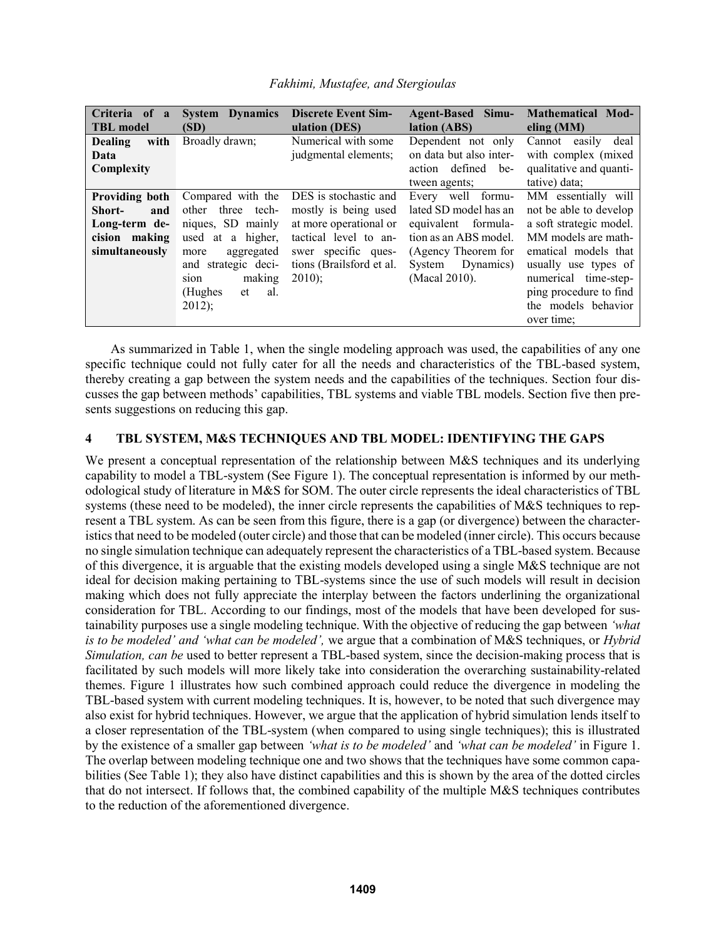| Criteria of<br>a<br><b>TBL</b> model                                                          | <b>System Dynamics</b><br>(SD)                                                                                                                                                             | <b>Discrete Event Sim-</b><br>ulation (DES)                                                                                                                     | Simu-<br><b>Agent-Based</b><br>lation (ABS)                                                                                                               | <b>Mathematical Mod-</b><br>eling $(MM)$                                                                                                                                                                                               |
|-----------------------------------------------------------------------------------------------|--------------------------------------------------------------------------------------------------------------------------------------------------------------------------------------------|-----------------------------------------------------------------------------------------------------------------------------------------------------------------|-----------------------------------------------------------------------------------------------------------------------------------------------------------|----------------------------------------------------------------------------------------------------------------------------------------------------------------------------------------------------------------------------------------|
| Dealing<br>with<br>Data<br>Complexity                                                         | Broadly drawn;                                                                                                                                                                             | Numerical with some<br>judgmental elements;                                                                                                                     | Dependent not only<br>on data but also inter-<br>action defined be-<br>tween agents;                                                                      | Cannot<br>easily<br>deal<br>with complex (mixed<br>qualitative and quanti-<br>tative) data;                                                                                                                                            |
| <b>Providing both</b><br>Short-<br>and<br>Long-term de-<br>making<br>cision<br>simultaneously | Compared with the<br>three<br>tech-<br>other<br>niques, SD mainly<br>used at a higher,<br>aggregated<br>more<br>and strategic deci-<br>making<br>sion<br>(Hughes)<br>al.<br>et<br>$2012$ ; | DES is stochastic and<br>mostly is being used<br>at more operational or<br>tactical level to an-<br>swer specific ques-<br>tions (Brailsford et al.<br>$2010$ : | Every well formu-<br>lated SD model has an<br>equivalent formula-<br>tion as an ABS model.<br>(Agency Theorem for<br>Dynamics)<br>System<br>(Macal 2010). | MM essentially will<br>not be able to develop<br>a soft strategic model.<br>MM models are math-<br>ematical models that<br>usually use types of<br>numerical time-step-<br>ping procedure to find<br>the models behavior<br>over time: |

*Fakhimi, Mustafee, and Stergioulas*

As summarized in Table 1, when the single modeling approach was used, the capabilities of any one specific technique could not fully cater for all the needs and characteristics of the TBL-based system, thereby creating a gap between the system needs and the capabilities of the techniques. Section four discusses the gap between methods' capabilities, TBL systems and viable TBL models. Section five then presents suggestions on reducing this gap.

### **4 TBL SYSTEM, M&S TECHNIQUES AND TBL MODEL: IDENTIFYING THE GAPS**

We present a conceptual representation of the relationship between M&S techniques and its underlying capability to model a TBL-system (See Figure 1). The conceptual representation is informed by our methodological study of literature in M&S for SOM. The outer circle represents the ideal characteristics of TBL systems (these need to be modeled), the inner circle represents the capabilities of M&S techniques to represent a TBL system. As can be seen from this figure, there is a gap (or divergence) between the characteristics that need to be modeled (outer circle) and those that can be modeled (inner circle). This occurs because no single simulation technique can adequately represent the characteristics of a TBL-based system. Because of this divergence, it is arguable that the existing models developed using a single M&S technique are not ideal for decision making pertaining to TBL-systems since the use of such models will result in decision making which does not fully appreciate the interplay between the factors underlining the organizational consideration for TBL. According to our findings, most of the models that have been developed for sustainability purposes use a single modeling technique. With the objective of reducing the gap between *'what is to be modeled' and 'what can be modeled',* we argue that a combination of M&S techniques, or *Hybrid Simulation, can be* used to better represent a TBL-based system, since the decision-making process that is facilitated by such models will more likely take into consideration the overarching sustainability-related themes. Figure 1 illustrates how such combined approach could reduce the divergence in modeling the TBL-based system with current modeling techniques. It is, however, to be noted that such divergence may also exist for hybrid techniques. However, we argue that the application of hybrid simulation lends itself to a closer representation of the TBL-system (when compared to using single techniques); this is illustrated by the existence of a smaller gap between *'what is to be modeled'* and *'what can be modeled'* in Figure 1. The overlap between modeling technique one and two shows that the techniques have some common capabilities (See Table 1); they also have distinct capabilities and this is shown by the area of the dotted circles that do not intersect. If follows that, the combined capability of the multiple M&S techniques contributes to the reduction of the aforementioned divergence.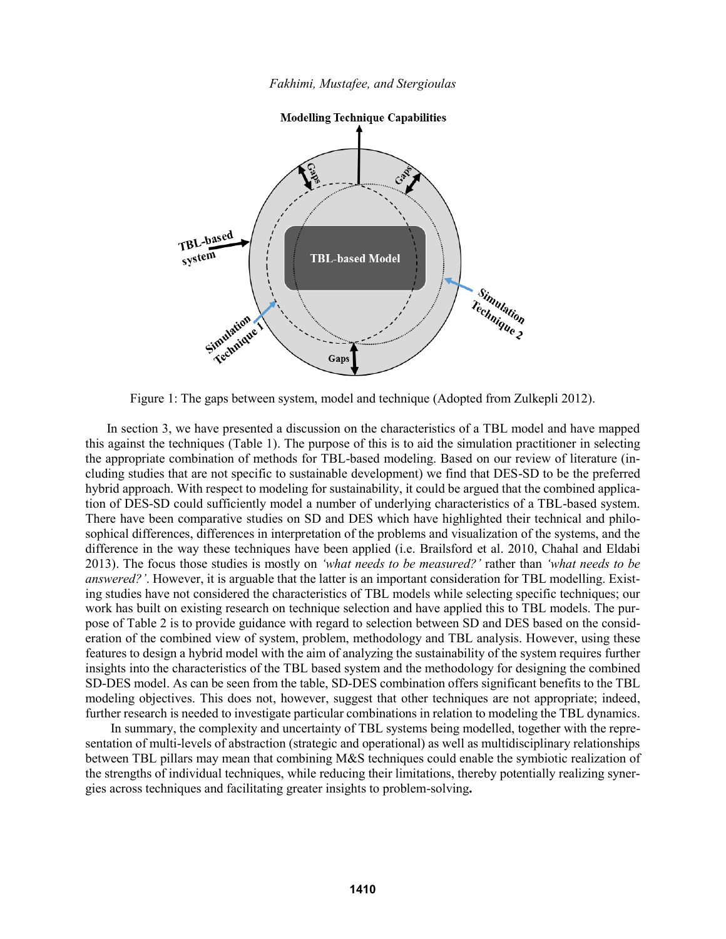



Figure 1: The gaps between system, model and technique (Adopted from Zulkepli 2012).

In section 3, we have presented a discussion on the characteristics of a TBL model and have mapped this against the techniques (Table 1). The purpose of this is to aid the simulation practitioner in selecting the appropriate combination of methods for TBL-based modeling. Based on our review of literature (including studies that are not specific to sustainable development) we find that DES-SD to be the preferred hybrid approach. With respect to modeling for sustainability, it could be argued that the combined application of DES-SD could sufficiently model a number of underlying characteristics of a TBL-based system. There have been comparative studies on SD and DES which have highlighted their technical and philosophical differences, differences in interpretation of the problems and visualization of the systems, and the difference in the way these techniques have been applied (i.e. Brailsford et al. 2010, Chahal and Eldabi 2013). The focus those studies is mostly on *'what needs to be measured?'* rather than *'what needs to be answered?'*. However, it is arguable that the latter is an important consideration for TBL modelling. Existing studies have not considered the characteristics of TBL models while selecting specific techniques; our work has built on existing research on technique selection and have applied this to TBL models. The purpose of Table 2 is to provide guidance with regard to selection between SD and DES based on the consideration of the combined view of system, problem, methodology and TBL analysis. However, using these features to design a hybrid model with the aim of analyzing the sustainability of the system requires further insights into the characteristics of the TBL based system and the methodology for designing the combined SD-DES model. As can be seen from the table, SD-DES combination offers significant benefits to the TBL modeling objectives. This does not, however, suggest that other techniques are not appropriate; indeed, further research is needed to investigate particular combinations in relation to modeling the TBL dynamics.

In summary, the complexity and uncertainty of TBL systems being modelled, together with the representation of multi-levels of abstraction (strategic and operational) as well as multidisciplinary relationships between TBL pillars may mean that combining M&S techniques could enable the symbiotic realization of the strengths of individual techniques, while reducing their limitations, thereby potentially realizing synergies across techniques and facilitating greater insights to problem-solving**.**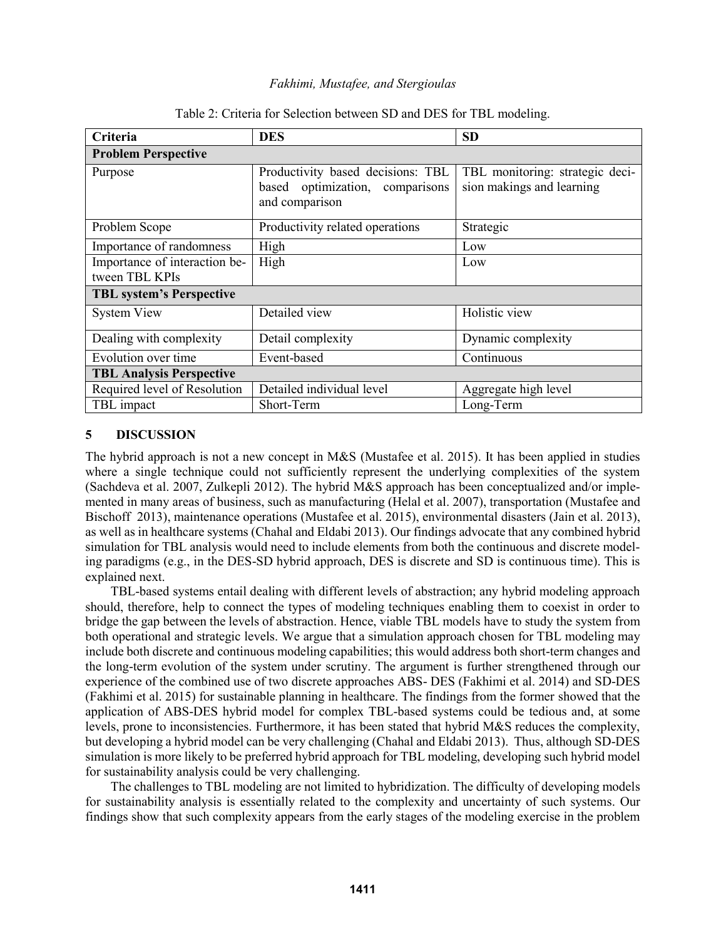| Criteria                                        | <b>DES</b>                                                                             | SD.                                                          |  |  |  |  |
|-------------------------------------------------|----------------------------------------------------------------------------------------|--------------------------------------------------------------|--|--|--|--|
| <b>Problem Perspective</b>                      |                                                                                        |                                                              |  |  |  |  |
| Purpose                                         | Productivity based decisions: TBL<br>based optimization, comparisons<br>and comparison | TBL monitoring: strategic deci-<br>sion makings and learning |  |  |  |  |
| Problem Scope                                   | Productivity related operations                                                        | Strategic                                                    |  |  |  |  |
| Importance of randomness                        | High                                                                                   | Low                                                          |  |  |  |  |
| Importance of interaction be-<br>tween TBL KPIs | High                                                                                   | Low                                                          |  |  |  |  |
| <b>TBL system's Perspective</b>                 |                                                                                        |                                                              |  |  |  |  |
| <b>System View</b>                              | Detailed view                                                                          | Holistic view                                                |  |  |  |  |
| Dealing with complexity                         | Detail complexity                                                                      | Dynamic complexity                                           |  |  |  |  |
| Evolution over time                             | Event-based                                                                            | Continuous                                                   |  |  |  |  |
| <b>TBL Analysis Perspective</b>                 |                                                                                        |                                                              |  |  |  |  |
| Required level of Resolution                    | Detailed individual level                                                              | Aggregate high level                                         |  |  |  |  |
| TBL impact                                      | Short-Term                                                                             | Long-Term                                                    |  |  |  |  |

### Table 2: Criteria for Selection between SD and DES for TBL modeling.

### **5 DISCUSSION**

The hybrid approach is not a new concept in M&S (Mustafee et al. 2015). It has been applied in studies where a single technique could not sufficiently represent the underlying complexities of the system (Sachdeva et al. 2007, Zulkepli 2012). The hybrid M&S approach has been conceptualized and/or implemented in many areas of business, such as manufacturing (Helal et al. 2007), transportation (Mustafee and Bischoff 2013), maintenance operations (Mustafee et al. 2015), environmental disasters (Jain et al. 2013), as well as in healthcare systems (Chahal and Eldabi 2013). Our findings advocate that any combined hybrid simulation for TBL analysis would need to include elements from both the continuous and discrete modeling paradigms (e.g., in the DES-SD hybrid approach, DES is discrete and SD is continuous time). This is explained next.

TBL-based systems entail dealing with different levels of abstraction; any hybrid modeling approach should, therefore, help to connect the types of modeling techniques enabling them to coexist in order to bridge the gap between the levels of abstraction. Hence, viable TBL models have to study the system from both operational and strategic levels. We argue that a simulation approach chosen for TBL modeling may include both discrete and continuous modeling capabilities; this would address both short-term changes and the long-term evolution of the system under scrutiny. The argument is further strengthened through our experience of the combined use of two discrete approaches ABS- DES (Fakhimi et al. 2014) and SD-DES (Fakhimi et al. 2015) for sustainable planning in healthcare. The findings from the former showed that the application of ABS-DES hybrid model for complex TBL-based systems could be tedious and, at some levels, prone to inconsistencies. Furthermore, it has been stated that hybrid M&S reduces the complexity, but developing a hybrid model can be very challenging (Chahal and Eldabi 2013). Thus, although SD-DES simulation is more likely to be preferred hybrid approach for TBL modeling, developing such hybrid model for sustainability analysis could be very challenging.

The challenges to TBL modeling are not limited to hybridization. The difficulty of developing models for sustainability analysis is essentially related to the complexity and uncertainty of such systems. Our findings show that such complexity appears from the early stages of the modeling exercise in the problem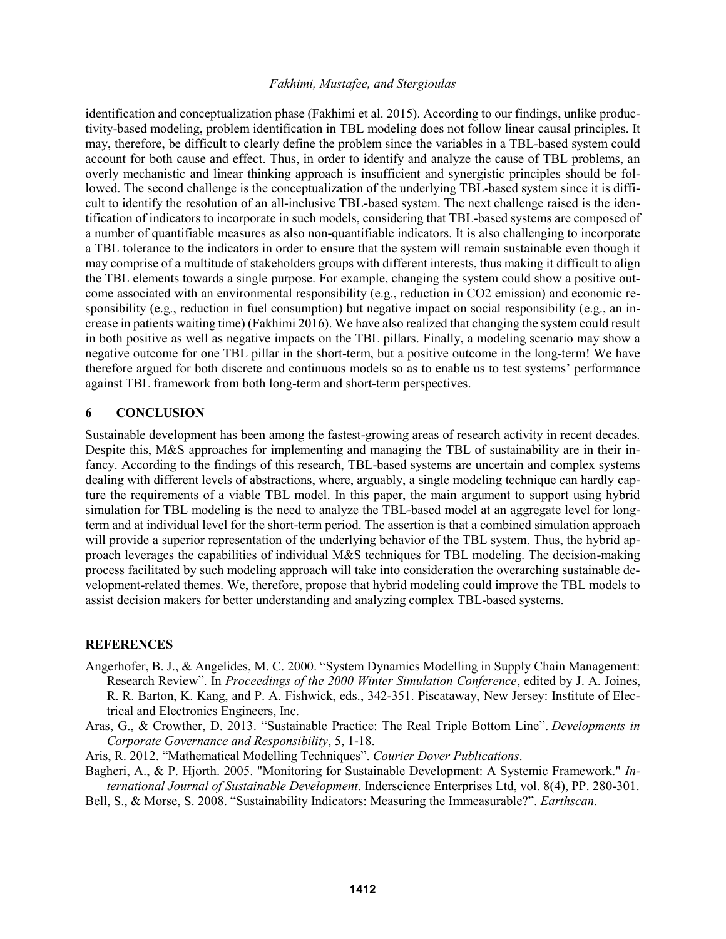identification and conceptualization phase (Fakhimi et al. 2015). According to our findings, unlike productivity-based modeling, problem identification in TBL modeling does not follow linear causal principles. It may, therefore, be difficult to clearly define the problem since the variables in a TBL-based system could account for both cause and effect. Thus, in order to identify and analyze the cause of TBL problems, an overly mechanistic and linear thinking approach is insufficient and synergistic principles should be followed. The second challenge is the conceptualization of the underlying TBL-based system since it is difficult to identify the resolution of an all-inclusive TBL-based system. The next challenge raised is the identification of indicators to incorporate in such models, considering that TBL-based systems are composed of a number of quantifiable measures as also non-quantifiable indicators. It is also challenging to incorporate a TBL tolerance to the indicators in order to ensure that the system will remain sustainable even though it may comprise of a multitude of stakeholders groups with different interests, thus making it difficult to align the TBL elements towards a single purpose. For example, changing the system could show a positive outcome associated with an environmental responsibility (e.g., reduction in CO2 emission) and economic responsibility (e.g., reduction in fuel consumption) but negative impact on social responsibility (e.g., an increase in patients waiting time) (Fakhimi 2016). We have also realized that changing the system could result in both positive as well as negative impacts on the TBL pillars. Finally, a modeling scenario may show a negative outcome for one TBL pillar in the short-term, but a positive outcome in the long-term! We have therefore argued for both discrete and continuous models so as to enable us to test systems' performance against TBL framework from both long-term and short-term perspectives.

### **6 CONCLUSION**

Sustainable development has been among the fastest-growing areas of research activity in recent decades. Despite this, M&S approaches for implementing and managing the TBL of sustainability are in their infancy. According to the findings of this research, TBL-based systems are uncertain and complex systems dealing with different levels of abstractions, where, arguably, a single modeling technique can hardly capture the requirements of a viable TBL model. In this paper, the main argument to support using hybrid simulation for TBL modeling is the need to analyze the TBL-based model at an aggregate level for longterm and at individual level for the short-term period. The assertion is that a combined simulation approach will provide a superior representation of the underlying behavior of the TBL system. Thus, the hybrid approach leverages the capabilities of individual M&S techniques for TBL modeling. The decision-making process facilitated by such modeling approach will take into consideration the overarching sustainable development-related themes. We, therefore, propose that hybrid modeling could improve the TBL models to assist decision makers for better understanding and analyzing complex TBL-based systems.

### **REFERENCES**

- Angerhofer, B. J., & Angelides, M. C. 2000. "System Dynamics Modelling in Supply Chain Management: Research Review". In *Proceedings of the 2000 Winter Simulation Conference*, edited by J. A. Joines, R. R. Barton, K. Kang, and P. A. Fishwick, eds., 342-351. Piscataway, New Jersey: Institute of Electrical and Electronics Engineers, Inc.
- Aras, G., & Crowther, D. 2013. "Sustainable Practice: The Real Triple Bottom Line". *Developments in Corporate Governance and Responsibility*, 5, 1-18.

Aris, R. 2012. "Mathematical Modelling Techniques". *Courier Dover Publications*.

- Bagheri, A., & P. Hjorth. 2005. "Monitoring for Sustainable Development: A Systemic Framework." *International Journal of Sustainable Development*. Inderscience Enterprises Ltd, vol. 8(4), PP. 280-301.
- Bell, S., & Morse, S. 2008. "Sustainability Indicators: Measuring the Immeasurable?". *Earthscan*.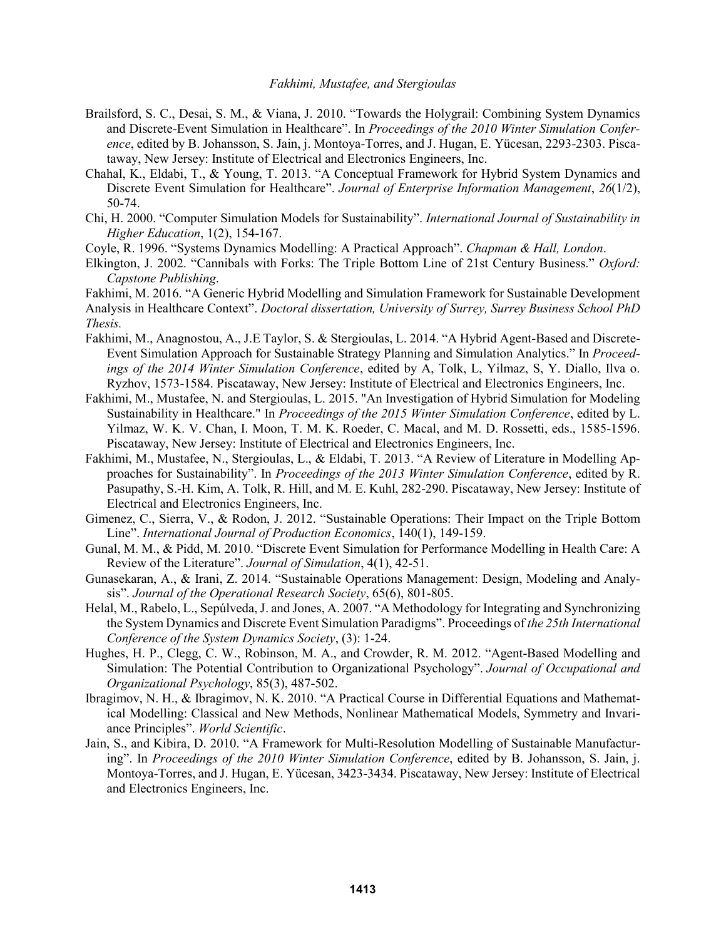- Brailsford, S. C., Desai, S. M., & Viana, J. 2010. "Towards the Holygrail: Combining System Dynamics and Discrete-Event Simulation in Healthcare". In *Proceedings of the 2010 Winter Simulation Conference*, edited by B. Johansson, S. Jain, j. Montoya-Torres, and J. Hugan, E. Yücesan, 2293-2303. Piscataway, New Jersey: Institute of Electrical and Electronics Engineers, Inc.
- Chahal, K., Eldabi, T., & Young, T. 2013. "A Conceptual Framework for Hybrid System Dynamics and Discrete Event Simulation for Healthcare". *Journal of Enterprise Information Management*, *26*(1/2), 50-74.
- Chi, H. 2000. "Computer Simulation Models for Sustainability". *International Journal of Sustainability in Higher Education*, 1(2), 154-167.
- Coyle, R. 1996. "Systems Dynamics Modelling: A Practical Approach". *Chapman & Hall, London*.
- Elkington, J. 2002. "Cannibals with Forks: The Triple Bottom Line of 21st Century Business." *Oxford: Capstone Publishing*.

Fakhimi, M. 2016. "A Generic Hybrid Modelling and Simulation Framework for Sustainable Development

Analysis in Healthcare Context". *Doctoral dissertation, University of Surrey, Surrey Business School PhD Thesis.*

- Fakhimi, M., Anagnostou, A., J.E Taylor, S. & Stergioulas, L. 2014. "A Hybrid Agent-Based and Discrete-Event Simulation Approach for Sustainable Strategy Planning and Simulation Analytics." In *Proceedings of the 2014 Winter Simulation Conference*, edited by A, Tolk, L, Yilmaz, S, Y. Diallo, Ilva o. Ryzhov, 1573-1584. Piscataway, New Jersey: Institute of Electrical and Electronics Engineers, Inc.
- Fakhimi, M., Mustafee, N. and Stergioulas, L. 2015. "An Investigation of Hybrid Simulation for Modeling Sustainability in Healthcare." In *Proceedings of the 2015 Winter Simulation Conference*, edited by L. Yilmaz, W. K. V. Chan, I. Moon, T. M. K. Roeder, C. Macal, and M. D. Rossetti, eds., 1585-1596. Piscataway, New Jersey: Institute of Electrical and Electronics Engineers, Inc.
- Fakhimi, M., Mustafee, N., Stergioulas, L., & Eldabi, T. 2013. "A Review of Literature in Modelling Approaches for Sustainability". In *Proceedings of the 2013 Winter Simulation Conference*, edited by R. Pasupathy, S.-H. Kim, A. Tolk, R. Hill, and M. E. Kuhl, 282-290. Piscataway, New Jersey: Institute of Electrical and Electronics Engineers, Inc.
- Gimenez, C., Sierra, V., & Rodon, J. 2012. "Sustainable Operations: Their Impact on the Triple Bottom Line". *International Journal of Production Economics*, 140(1), 149-159.
- Gunal, M. M., & Pidd, M. 2010. "Discrete Event Simulation for Performance Modelling in Health Care: A Review of the Literature". *Journal of Simulation*, 4(1), 42-51.
- Gunasekaran, A., & Irani, Z. 2014. "Sustainable Operations Management: Design, Modeling and Analysis". *Journal of the Operational Research Society*, 65(6), 801-805.
- Helal, M., Rabelo, L., Sepúlveda, J. and Jones, A. 2007. "A Methodology for Integrating and Synchronizing the System Dynamics and Discrete Event Simulation Paradigms". Proceedings of *the 25th International Conference of the System Dynamics Society*, (3): 1-24.
- Hughes, H. P., Clegg, C. W., Robinson, M. A., and Crowder, R. M. 2012. "Agent-Based Modelling and Simulation: The Potential Contribution to Organizational Psychology". *Journal of Occupational and Organizational Psychology*, 85(3), 487-502.
- Ibragimov, N. H., & Ibragimov, N. K. 2010. "A Practical Course in Differential Equations and Mathematical Modelling: Classical and New Methods, Nonlinear Mathematical Models, Symmetry and Invariance Principles". *World Scientific*.
- Jain, S., and Kibira, D. 2010. "A Framework for Multi-Resolution Modelling of Sustainable Manufacturing". In *Proceedings of the 2010 Winter Simulation Conference*, edited by B. Johansson, S. Jain, j. Montoya-Torres, and J. Hugan, E. Yücesan, 3423-3434. Piscataway, New Jersey: Institute of Electrical and Electronics Engineers, Inc.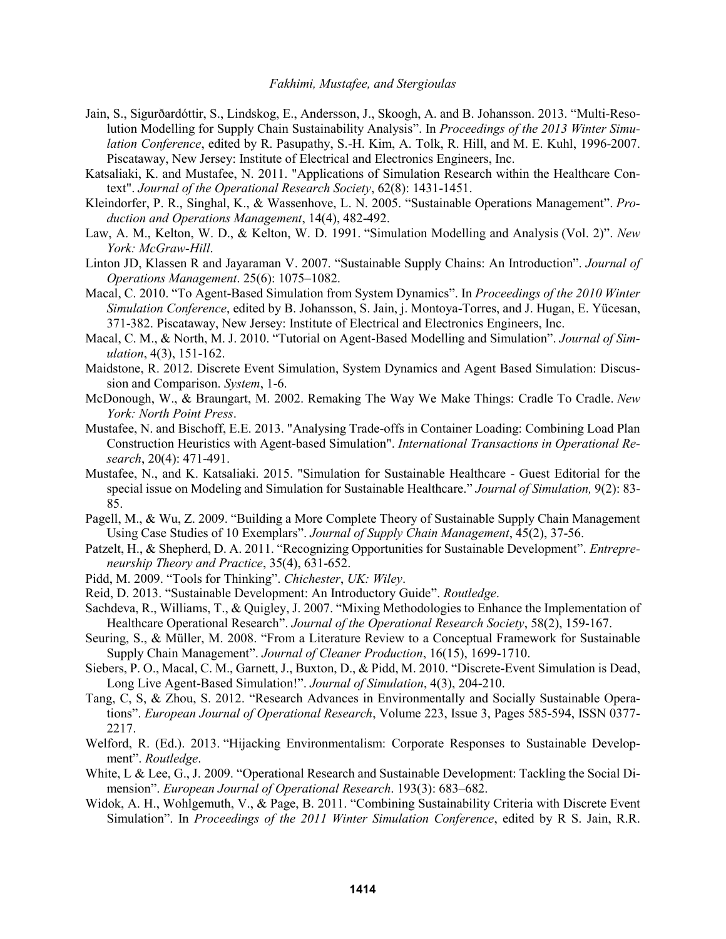- Jain, S., Sigurðardóttir, S., Lindskog, E., Andersson, J., Skoogh, A. and B. Johansson. 2013. "Multi-Resolution Modelling for Supply Chain Sustainability Analysis". In *Proceedings of the 2013 Winter Simulation Conference*, edited by R. Pasupathy, S.-H. Kim, A. Tolk, R. Hill, and M. E. Kuhl, 1996-2007. Piscataway, New Jersey: Institute of Electrical and Electronics Engineers, Inc.
- Katsaliaki, K. and Mustafee, N. 2011. "Applications of Simulation Research within the Healthcare Context". *Journal of the Operational Research Society*, 62(8): 1431-1451.
- Kleindorfer, P. R., Singhal, K., & Wassenhove, L. N. 2005. "Sustainable Operations Management". *Production and Operations Management*, 14(4), 482-492.
- Law, A. M., Kelton, W. D., & Kelton, W. D. 1991. "Simulation Modelling and Analysis (Vol. 2)". *New York: McGraw-Hill*.
- Linton JD, Klassen R and Jayaraman V. 2007. "Sustainable Supply Chains: An Introduction". *Journal of Operations Management*. 25(6): 1075–1082.
- Macal, C. 2010. "To Agent-Based Simulation from System Dynamics". In *Proceedings of the 2010 Winter Simulation Conference*, edited by B. Johansson, S. Jain, j. Montoya-Torres, and J. Hugan, E. Yücesan, 371-382. Piscataway, New Jersey: Institute of Electrical and Electronics Engineers, Inc.
- Macal, C. M., & North, M. J. 2010. "Tutorial on Agent-Based Modelling and Simulation". *Journal of Simulation*, 4(3), 151-162.
- Maidstone, R. 2012. Discrete Event Simulation, System Dynamics and Agent Based Simulation: Discussion and Comparison. *System*, 1-6.
- McDonough, W., & Braungart, M. 2002. Remaking The Way We Make Things: Cradle To Cradle. *New York: North Point Press*.
- Mustafee, N. and Bischoff, E.E. 2013. "Analysing Trade-offs in Container Loading: Combining Load Plan Construction Heuristics with Agent-based Simulation". *International Transactions in Operational Research*, 20(4): 471-491.
- Mustafee, N., and K. Katsaliaki. 2015. "Simulation for Sustainable Healthcare Guest Editorial for the special issue on Modeling and Simulation for Sustainable Healthcare." *Journal of Simulation,* 9(2): 83- 85.
- Pagell, M., & Wu, Z. 2009. "Building a More Complete Theory of Sustainable Supply Chain Management Using Case Studies of 10 Exemplars". *Journal of Supply Chain Management*, 45(2), 37-56.
- Patzelt, H., & Shepherd, D. A. 2011. "Recognizing Opportunities for Sustainable Development". *Entrepreneurship Theory and Practice*, 35(4), 631-652.
- Pidd, M. 2009. "Tools for Thinking". *Chichester*, *UK: Wiley*.
- Reid, D. 2013. "Sustainable Development: An Introductory Guide". *Routledge*.
- Sachdeva, R., Williams, T., & Quigley, J. 2007. "Mixing Methodologies to Enhance the Implementation of Healthcare Operational Research". *Journal of the Operational Research Society*, 58(2), 159-167.
- Seuring, S., & Müller, M. 2008. "From a Literature Review to a Conceptual Framework for Sustainable Supply Chain Management". *Journal of Cleaner Production*, 16(15), 1699-1710.
- Siebers, P. O., Macal, C. M., Garnett, J., Buxton, D., & Pidd, M. 2010. "Discrete-Event Simulation is Dead, Long Live Agent-Based Simulation!". *Journal of Simulation*, 4(3), 204-210.
- Tang, C, S, & Zhou, S. 2012. "Research Advances in Environmentally and Socially Sustainable Operations". *European Journal of Operational Research*, Volume 223, Issue 3, Pages 585-594, ISSN 0377- 2217.
- Welford, R. (Ed.). 2013. "Hijacking Environmentalism: Corporate Responses to Sustainable Development". *Routledge*.
- White, L & Lee, G., J. 2009. "Operational Research and Sustainable Development: Tackling the Social Dimension". *European Journal of Operational Research*. 193(3): 683–682.
- Widok, A. H., Wohlgemuth, V., & Page, B. 2011. "Combining Sustainability Criteria with Discrete Event Simulation". In *Proceedings of the 2011 Winter Simulation Conference*, edited by R S. Jain, R.R.